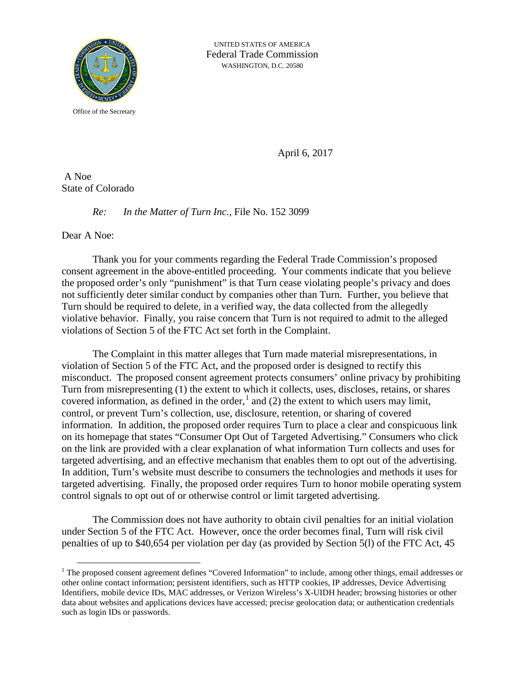

UNITED STATES OF AMERICA Federal Trade Commission WASHINGTON, D.C. 20580

Office of the Secretary

April 6, 2017

A Noe State of Colorado

## *Re: In the Matter of Turn Inc.,* File No. 152 3099

Dear A Noe:

Thank you for your comments regarding the Federal Trade Commission's proposed consent agreement in the above-entitled proceeding. Your comments indicate that you believe the proposed order's only "punishment" is that Turn cease violating people's privacy and does not sufficiently deter similar conduct by companies other than Turn. Further, you believe that Turn should be required to delete, in a verified way, the data collected from the allegedly violative behavior. Finally, you raise concern that Turn is not required to admit to the alleged violations of Section 5 of the FTC Act set forth in the Complaint.

The Complaint in this matter alleges that Turn made material misrepresentations, in violation of Section 5 of the FTC Act, and the proposed order is designed to rectify this misconduct. The proposed consent agreement protects consumers' online privacy by prohibiting Turn from misrepresenting (1) the extent to which it collects, uses, discloses, retains, or shares covered information, as defined in the order,  $\frac{1}{2}$  $\frac{1}{2}$  $\frac{1}{2}$  and (2) the extent to which users may limit, control, or prevent Turn's collection, use, disclosure, retention, or sharing of covered information. In addition, the proposed order requires Turn to place a clear and conspicuous link on its homepage that states "Consumer Opt Out of Targeted Advertising." Consumers who click on the link are provided with a clear explanation of what information Turn collects and uses for targeted advertising, and an effective mechanism that enables them to opt out of the advertising. In addition, Turn's website must describe to consumers the technologies and methods it uses for targeted advertising. Finally, the proposed order requires Turn to honor mobile operating system control signals to opt out of or otherwise control or limit targeted advertising.

The Commission does not have authority to obtain civil penalties for an initial violation under Section 5 of the FTC Act. However, once the order becomes final, Turn will risk civil penalties of up to \$40,654 per violation per day (as provided by Section 5(l) of the FTC Act, 45

<span id="page-0-0"></span> $<sup>1</sup>$  The proposed consent agreement defines "Covered Information" to include, among other things, email addresses or</sup> other online contact information; persistent identifiers, such as HTTP cookies, IP addresses, Device Advertising Identifiers, mobile device IDs, MAC addresses, or Verizon Wireless's X-UIDH header; browsing histories or other data about websites and applications devices have accessed; precise geolocation data; or authentication credentials such as login IDs or passwords.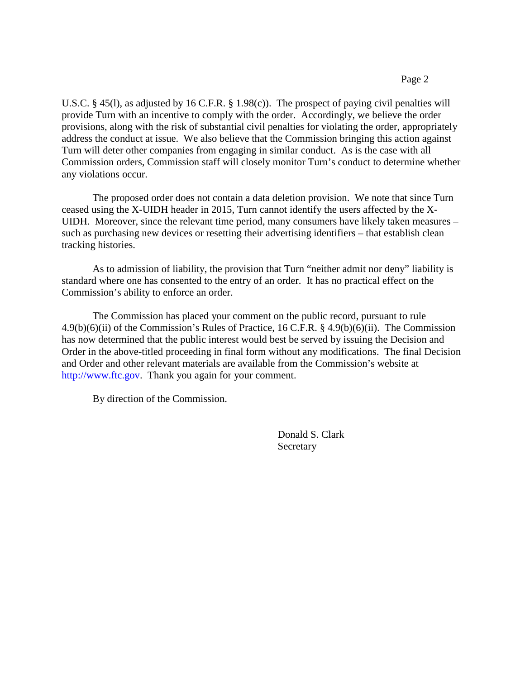U.S.C. § 45(l), as adjusted by 16 C.F.R. § 1.98(c)). The prospect of paying civil penalties will provide Turn with an incentive to comply with the order. Accordingly, we believe the order provisions, along with the risk of substantial civil penalties for violating the order, appropriately address the conduct at issue. We also believe that the Commission bringing this action against Turn will deter other companies from engaging in similar conduct. As is the case with all Commission orders, Commission staff will closely monitor Turn's conduct to determine whether any violations occur.

The proposed order does not contain a data deletion provision. We note that since Turn ceased using the X-UIDH header in 2015, Turn cannot identify the users affected by the X-UIDH. Moreover, since the relevant time period, many consumers have likely taken measures – such as purchasing new devices or resetting their advertising identifiers – that establish clean tracking histories.

As to admission of liability, the provision that Turn "neither admit nor deny" liability is standard where one has consented to the entry of an order. It has no practical effect on the Commission's ability to enforce an order.

The Commission has placed your comment on the public record, pursuant to rule 4.9(b)(6)(ii) of the Commission's Rules of Practice, 16 C.F.R. § 4.9(b)(6)(ii). The Commission has now determined that the public interest would best be served by issuing the Decision and Order in the above-titled proceeding in final form without any modifications. The final Decision and Order and other relevant materials are available from the Commission's website at [http://www.ftc.gov.](http://www.ftc.gov/) Thank you again for your comment.

By direction of the Commission.

Donald S. Clark Secretary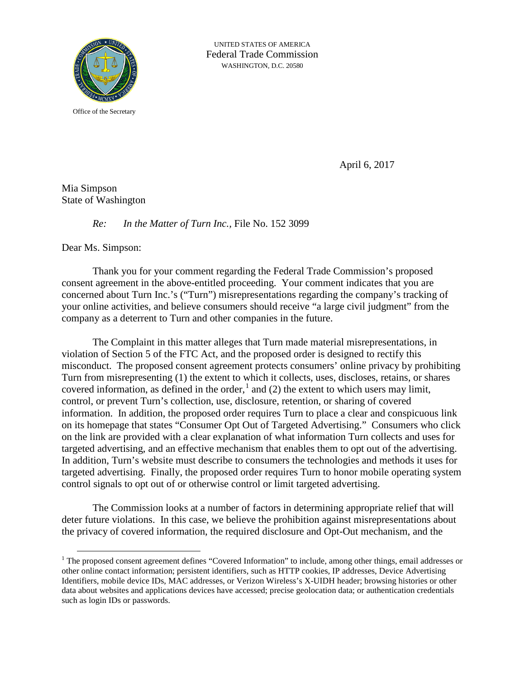

UNITED STATES OF AMERICA Federal Trade Commission WASHINGTON, D.C. 20580

Office of the Secretary

April 6, 2017

Mia Simpson State of Washington

## *Re: In the Matter of Turn Inc.,* File No. 152 3099

Dear Ms. Simpson:

Thank you for your comment regarding the Federal Trade Commission's proposed consent agreement in the above-entitled proceeding. Your comment indicates that you are concerned about Turn Inc.'s ("Turn") misrepresentations regarding the company's tracking of your online activities, and believe consumers should receive "a large civil judgment" from the company as a deterrent to Turn and other companies in the future.

The Complaint in this matter alleges that Turn made material misrepresentations, in violation of Section 5 of the FTC Act, and the proposed order is designed to rectify this misconduct. The proposed consent agreement protects consumers' online privacy by prohibiting Turn from misrepresenting (1) the extent to which it collects, uses, discloses, retains, or shares covered information, as defined in the order, $\frac{1}{2}$  $\frac{1}{2}$  $\frac{1}{2}$  and (2) the extent to which users may limit, control, or prevent Turn's collection, use, disclosure, retention, or sharing of covered information. In addition, the proposed order requires Turn to place a clear and conspicuous link on its homepage that states "Consumer Opt Out of Targeted Advertising." Consumers who click on the link are provided with a clear explanation of what information Turn collects and uses for targeted advertising, and an effective mechanism that enables them to opt out of the advertising. In addition, Turn's website must describe to consumers the technologies and methods it uses for targeted advertising. Finally, the proposed order requires Turn to honor mobile operating system control signals to opt out of or otherwise control or limit targeted advertising.

The Commission looks at a number of factors in determining appropriate relief that will deter future violations. In this case, we believe the prohibition against misrepresentations about the privacy of covered information, the required disclosure and Opt-Out mechanism, and the

<span id="page-2-0"></span><sup>&</sup>lt;sup>1</sup> The proposed consent agreement defines "Covered Information" to include, among other things, email addresses or other online contact information; persistent identifiers, such as HTTP cookies, IP addresses, Device Advertising Identifiers, mobile device IDs, MAC addresses, or Verizon Wireless's X-UIDH header; browsing histories or other data about websites and applications devices have accessed; precise geolocation data; or authentication credentials such as login IDs or passwords.